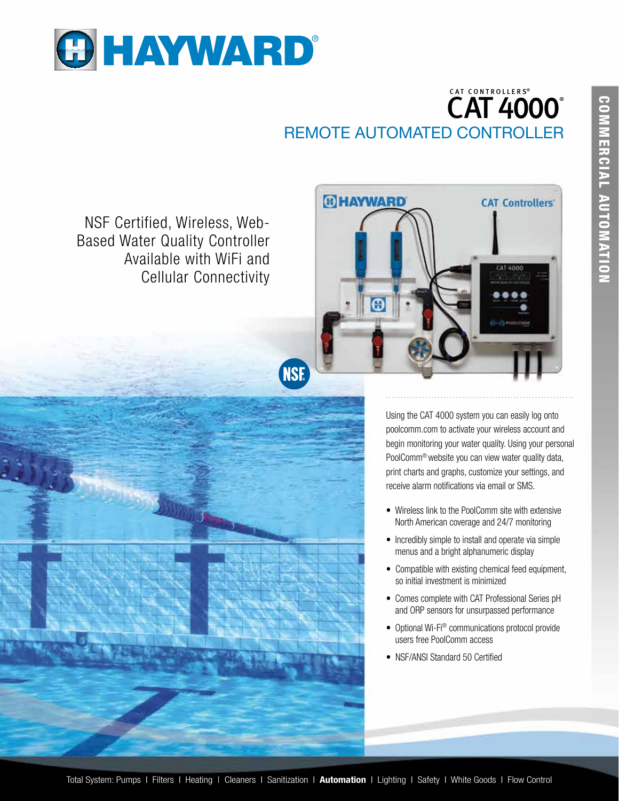

## CAT CONTROLLERS ® **CAT 4000°** REMOTE AUTOMATED CONTROLLER

NSF Certified, Wireless, Web-Based Water Quality Controller Available with WiFi and Cellular Connectivity



Using the CAT 4000 system you can easily log onto poolcomm.com to activate your wireless account and begin monitoring your water quality. Using your personal PoolComm® website you can view water quality data, print charts and graphs, customize your settings, and receive alarm notifications via email or SMS.

- Wireless link to the PoolComm site with extensive North American coverage and 24/7 monitoring
- Incredibly simple to install and operate via simple menus and a bright alphanumeric display
- Compatible with existing chemical feed equipment, so initial investment is minimized
- Comes complete with CAT Professional Series pH and ORP sensors for unsurpassed performance
- Optional Wi-Fi® communications protocol provide users free PoolComm access
- NSF/ANSI Standard 50 Certified